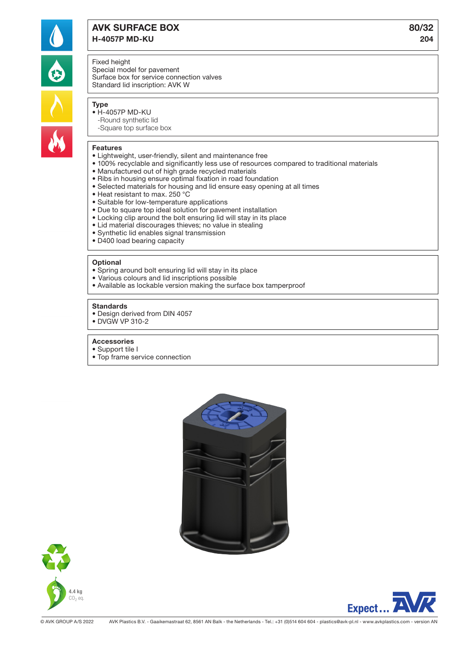

# AVK SURFACE BOX 80/32 H-4057P MD-KU 204

### Fixed height

Special model for pavement Surface box for service connection valves Standard lid inscription: AVK W

# Type

- H-4057P MD-KU
	- -Round synthetic lid -Square top surface box

#### Features

- Lightweight, user-friendly, silent and maintenance free
- 100% recyclable and significantly less use of resources compared to traditional materials
- Manufactured out of high grade recycled materials
- Ribs in housing ensure optimal fixation in road foundation
- Selected materials for housing and lid ensure easy opening at all times
- Heat resistant to max. 250 °C
- Suitable for low-temperature applications
- Due to square top ideal solution for pavement installation
- Locking clip around the bolt ensuring lid will stay in its place
- Lid material discourages thieves; no value in stealing
- Synthetic lid enables signal transmission
- D400 load bearing capacity

#### **Optional**

- Spring around bolt ensuring lid will stay in its place
- Various colours and lid inscriptions possible
- Available as lockable version making the surface box tamperproof

#### **Standards**

- Design derived from DIN 4057
- DVGW VP 310-2

#### Accessories

- Support tile I
- Top frame service connection